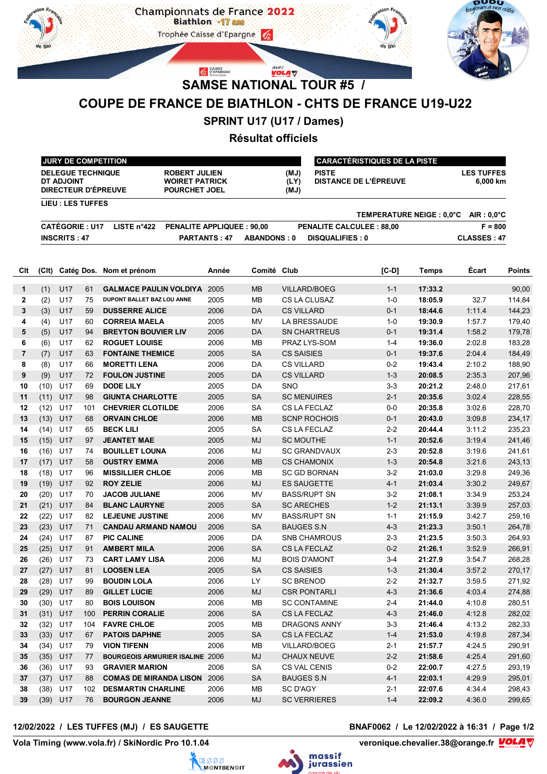

# **COUPE DE FRANCE DE BIATHLON - CHTS DE FRANCE U19-U22**

## **SPRINT U17 (U17 / Dames)**

## **Résultat officiels**

|                |                                                                  |                                        |     | <b>JURY DE COMPETITION</b>                                                                   |                                  |                    | <b>CARACTÉRISTIQUES DE LA PISTE</b> |                                       |         |              |                               |               |
|----------------|------------------------------------------------------------------|----------------------------------------|-----|----------------------------------------------------------------------------------------------|----------------------------------|--------------------|-------------------------------------|---------------------------------------|---------|--------------|-------------------------------|---------------|
|                |                                                                  | <b>DELEGUE TECHNIQUE</b><br>DT ADJOINT |     | <b>ROBERT JULIEN</b><br><b>WOIRET PATRICK</b><br><b>DIRECTEUR D'ÉPREUVE</b><br>POURCHET JOEL |                                  |                    | (MJ)<br>(LY)<br>(MJ)                | <b>PISTE</b><br>DISTANCE DE L'ÉPREUVE |         |              | <b>LES TUFFES</b><br>6,000 km |               |
|                | <b>LIEU: LES TUFFES</b><br>TEMPERATURE NEIGE : 0,0°C AIR : 0,0°C |                                        |     |                                                                                              |                                  |                    |                                     |                                       |         |              |                               |               |
|                |                                                                  | <b>CATÉGORIE: U17</b>                  |     | LISTE $n^{\circ}422$                                                                         | <b>PENALITE APPLIQUEE: 90,00</b> |                    |                                     | <b>PENALITE CALCULEE: 88,00</b>       |         |              | $F = 800$                     |               |
|                |                                                                  | <b>INSCRITS: 47</b>                    |     |                                                                                              | <b>PARTANTS: 47</b>              | <b>ABANDONS: 0</b> |                                     | <b>DISQUALIFIES: 0</b>                |         |              | <b>CLASSES: 47</b>            |               |
|                |                                                                  |                                        |     |                                                                                              |                                  |                    |                                     |                                       |         |              |                               |               |
| Clt            |                                                                  |                                        |     | (Clt) Catég Dos. Nom et prénom                                                               | Année                            | Comité Club        |                                     |                                       | $[C-D]$ | <b>Temps</b> | Écart                         | <b>Points</b> |
| 1              | (1)                                                              | U17                                    | 61  | <b>GALMACE PAULIN VOLDIYA</b>                                                                | 2005                             | <b>MB</b>          |                                     | <b>VILLARD/BOEG</b>                   | $1 - 1$ | 17:33.2      |                               | 90,00         |
| $\mathbf{2}$   | (2)                                                              | U17                                    | 75  | DUPONT BALLET BAZ LOU ANNE                                                                   | 2005                             | <b>MB</b>          |                                     | CS LA CLUSAZ                          | $1 - 0$ | 18:05.9      | 32.7                          | 114,84        |
| 3              | (3)                                                              | U17                                    | 59  | <b>DUSSERRE ALICE</b>                                                                        | 2006                             | <b>DA</b>          | <b>CS VILLARD</b>                   |                                       | $0 - 1$ | 18:44.6      | 1:11.4                        | 144,23        |
| 4              | (4)                                                              | U17                                    | 60  | <b>CORREIA MAELA</b>                                                                         | 2005                             | MV                 |                                     | LA BRESSAUDE                          | $1 - 0$ | 19:30.9      | 1:57.7                        | 179,40        |
| 5              | (5)                                                              | U17                                    | 94  | <b>BREYTON BOUVIER LIV</b>                                                                   | 2006                             | <b>DA</b>          |                                     | <b>SN CHARTREUS</b>                   | $0 - 1$ | 19:31.4      | 1:58.2                        | 179,78        |
| 6              | (6)                                                              | U17                                    | 62  | <b>ROGUET LOUISE</b>                                                                         | 2006                             | MВ                 |                                     | PRAZ LYS-SOM                          | $1 - 4$ | 19:36.0      | 2:02.8                        | 183,28        |
| $\overline{7}$ | (7)                                                              | U17                                    | 63  | <b>FONTAINE THEMICE</b>                                                                      | 2005                             | <b>SA</b>          | <b>CS SAISIES</b>                   |                                       | $0 - 1$ | 19:37.6      | 2:04.4                        | 184,49        |
| 8              | (8)                                                              | U17                                    | 66  | <b>MORETTI LENA</b>                                                                          | 2006                             | DA                 | <b>CS VILLARD</b>                   |                                       | $0 - 2$ | 19:43.4      | 2:10.2                        | 188,90        |
| 9              | (9)                                                              | U17                                    | 72  | <b>FOULON JUSTINE</b>                                                                        | 2005                             | DA                 | <b>CS VILLARD</b>                   |                                       | $1 - 3$ | 20:08.5      | 2:35.3                        | 207,96        |
| 10             | (10)                                                             | U17                                    | 69  | <b>DODE LILY</b>                                                                             | 2005                             | DA                 | SNO                                 |                                       | $3-3$   | 20:21.2      | 2:48.0                        | 217,61        |
| 11             | (11)                                                             | U17                                    | 98  | <b>GIUNTA CHARLOTTE</b>                                                                      | 2005                             | <b>SA</b>          | <b>SC MENUIRES</b>                  |                                       | $2 - 1$ | 20:35.6      | 3:02.4                        | 228,55        |
| 12             | (12)                                                             | U17                                    | 101 | <b>CHEVRIER CLOTILDE</b>                                                                     | 2006                             | <b>SA</b>          |                                     | <b>CS LA FECLAZ</b>                   | $0-0$   | 20:35.8      | 3:02.6                        | 228,70        |
| 13             | (13)                                                             | U17                                    | 68  | <b>ORVAIN CHLOE</b>                                                                          | 2006                             | <b>MB</b>          |                                     | <b>SCNP ROCHOIS</b>                   | $0 - 1$ | 20:43.0      | 3:09.8                        | 234,17        |
| 14             | (14)                                                             | U17                                    | 65  | <b>BECK LILI</b>                                                                             | 2005                             | <b>SA</b>          |                                     | CS LA FECLAZ                          | $2 - 2$ | 20:44.4      | 3:11.2                        | 235,23        |
| 15             | (15)                                                             | U17                                    | 97  | <b>JEANTET MAE</b>                                                                           | 2005                             | <b>MJ</b>          | <b>SC MOUTHE</b>                    |                                       | $1 - 1$ | 20:52.6      | 3:19.4                        | 241,46        |
| 16             | (16)                                                             | U17                                    | 74  | <b>BOUILLET LOUNA</b>                                                                        | 2006                             | MJ                 |                                     | <b>SC GRANDVAUX</b>                   | $2 - 3$ | 20:52.8      | 3:19.6                        | 241,61        |
| 17             | (17)                                                             | U17                                    | 58  | <b>OUSTRY EMMA</b>                                                                           | 2006                             | <b>MB</b>          |                                     | <b>CS CHAMONIX</b>                    | $1 - 3$ | 20:54.8      | 3:21.6                        | 243,13        |
| 18             | (18)                                                             | U17                                    | 96  | <b>MISSILLIER CHLOE</b>                                                                      | 2006                             | MВ                 |                                     | <b>SC GD BORNAN</b>                   | $3-2$   | 21:03.0      | 3:29.8                        | 249,36        |
| 19             | (19)                                                             | U17                                    | 92  | <b>ROY ZELIE</b>                                                                             | 2006                             | <b>MJ</b>          |                                     | <b>ES SAUGETTE</b>                    | $4 - 1$ | 21:03.4      | 3:30.2                        | 249,67        |
| 20             | (20)                                                             | U17                                    | 70  | <b>JACOB JULIANE</b>                                                                         | 2006                             | MV                 |                                     | <b>BASS/RUPT SN</b>                   | $3-2$   | 21:08.1      | 3:34.9                        | 253,24        |
| 21             | (21)                                                             | U17                                    | 84  | <b>BLANC LAURYNE</b>                                                                         | 2005                             | <b>SA</b>          | <b>SC ARECHES</b>                   |                                       | $1 - 2$ | 21:13.1      | 3:39.9                        | 257,03        |
| 22             | (22)                                                             | U17                                    | 82  | <b>LEJEUNE JUSTINE</b>                                                                       | 2006                             | <b>MV</b>          |                                     | <b>BASS/RUPT SN</b>                   | $1 - 1$ | 21:15.9      | 3:42.7                        | 259,16        |
| 23             | (23)                                                             | U17                                    | 71  | <b>CANDAU ARMAND NAMOU</b>                                                                   | 2006                             | <b>SA</b>          | <b>BAUGES S.N</b>                   |                                       | $4 - 3$ | 21:23.3      | 3:50.1                        | 264,78        |
| 24             | (24)                                                             | U17                                    | 87  | <b>PIC CALINE</b>                                                                            | 2006                             | DA                 |                                     | <b>SNB CHAMROUS</b>                   | $2 - 3$ | 21:23.5      | 3:50.3                        | 264,93        |
| 25             | (25)                                                             | U17                                    | 91  | <b>AMBERT MILA</b>                                                                           | 2006                             | <b>SA</b>          |                                     | <b>CS LA FECLAZ</b>                   | $0 - 2$ | 21:26.1      | 3:52.9                        | 266,91        |
| 26             | (26) U17                                                         |                                        | 73  | <b>CART LAMY LISA</b>                                                                        | 2006                             | MJ                 |                                     | <b>BOIS D'AMONT</b>                   | $3-4$   | 21:27.9      | 3:54.7                        | 268,28        |
| 27             |                                                                  | $(27)$ U17                             | 81  | <b>LOOSEN LEA</b>                                                                            | 2005                             | SA                 | <b>CS SAISIES</b>                   |                                       | $1 - 3$ | 21:30.4      | 3.57.2                        | 270,17        |
| 28             | (28)                                                             | U17                                    | 99  | <b>BOUDIN LOLA</b>                                                                           | 2006                             | LY.                | <b>SC BRENOD</b>                    |                                       | $2 - 2$ | 21:32.7      | 3:59.5                        | 271,92        |
| 29             | (29)                                                             | U17                                    | 89  | <b>GILLET LUCIE</b>                                                                          | 2006                             | MJ                 |                                     | <b>CSR PONTARLI</b>                   | $4 - 3$ | 21:36.6      | 4:03.4                        | 274,88        |
| 30             | (30)                                                             | U17                                    | 80  | <b>BOIS LOUISON</b>                                                                          | 2006                             | MВ                 |                                     | <b>SC CONTAMINE</b>                   | 2-4     | 21:44.0      | 4:10.8                        | 280,51        |
| 31             | (31)                                                             | U17                                    | 100 | <b>PERRIN CORALIE</b>                                                                        | 2006                             | SA                 |                                     | CS LA FECLAZ                          | $4 - 3$ | 21:46.0      | 4:12.8                        | 282,02        |
| 32             | (32)                                                             | U17                                    | 104 | <b>FAVRE CHLOE</b>                                                                           | 2005                             | MВ                 |                                     | DRAGONS ANNY                          | 3-3     | 21:46.4      | 4:13.2                        | 282,33        |
| 33             | (33)                                                             | U17                                    | 67  | <b>PATOIS DAPHNE</b>                                                                         | 2005                             | SA                 |                                     | CS LA FECLAZ                          | $1 - 4$ | 21:53.0      | 4:19.8                        | 287,34        |
| 34             | (34)                                                             | U17                                    | 79  | <b>VION TIFENN</b>                                                                           | 2006                             | MB                 |                                     | VILLARD/BOEG                          | $2 - 1$ | 21:57.7      | 4:24.5                        | 290,91        |
| 35             | (35)                                                             | U17                                    | 77  | <b>BOURGEOIS ARMURIER ISALINE 2006</b>                                                       |                                  | MJ                 |                                     | CHAUX NEUVE                           | $2 - 2$ | 21:58.6      | 4:25.4                        | 291,60        |
| 36             | (36)                                                             | U17                                    | 93  | <b>GRAVIER MARION</b>                                                                        | 2006                             | SA                 | CS VAL CENIS                        |                                       | $0 - 2$ | 22:00.7      | 4:27.5                        | 293,19        |
| 37             | $(37)$ U17                                                       |                                        | 88  | <b>COMAS DE MIRANDA LISON 2006</b>                                                           |                                  | SA                 | <b>BAUGES S.N</b>                   |                                       | $4 - 1$ | 22:03.1      | 4:29.9                        | 295,01        |
| 38             | (38)                                                             | U17                                    | 102 | <b>DESMARTIN CHARLINE</b>                                                                    | 2006                             | MВ                 | SC D'AGY                            |                                       | 2-1     | 22:07.6      | 4:34.4                        | 298,43        |
| 39             | $(39)$ U17                                                       |                                        | 76  | <b>BOURGON JEANNE</b>                                                                        | 2006                             | MJ                 |                                     | <b>SC VERRIERES</b>                   | $1 - 4$ | 22:09.2      | 4:36.0                        | 299,65        |

**12/02/2022 / LES TUFFES (MJ) / ES SAUGETTE BNAF0062 / Le 12/02/2022 à 16:31 / Page 1/2**

Vola Timing (www.vola.fr) / SkiNordic Pro 10.1.04





veronique.chevalier.38@orange.fr **VOLA**